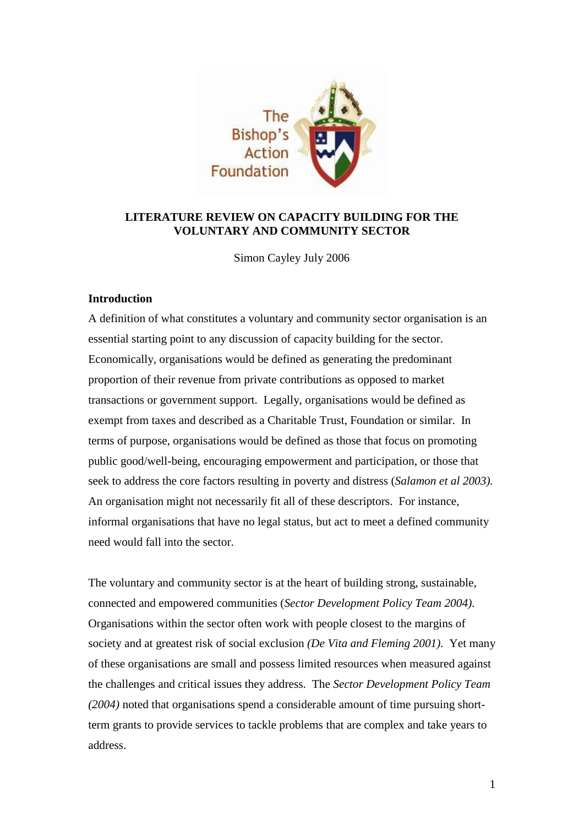

# **LITERATURE REVIEW ON CAPACITY BUILDING FOR THE VOLUNTARY AND COMMUNITY SECTOR**

Simon Cayley July 2006

## **Introduction**

A definition of what constitutes a voluntary and community sector organisation is an essential starting point to any discussion of capacity building for the sector. Economically, organisations would be defined as generating the predominant proportion of their revenue from private contributions as opposed to market transactions or government support. Legally, organisations would be defined as exempt from taxes and described as a Charitable Trust, Foundation or similar. In terms of purpose, organisations would be defined as those that focus on promoting public good/well-being, encouraging empowerment and participation, or those that seek to address the core factors resulting in poverty and distress (*Salamon et al 2003).* An organisation might not necessarily fit all of these descriptors. For instance, informal organisations that have no legal status, but act to meet a defined community need would fall into the sector.

The voluntary and community sector is at the heart of building strong, sustainable, connected and empowered communities (*Sector Development Policy Team 2004)*. Organisations within the sector often work with people closest to the margins of society and at greatest risk of social exclusion *(De Vita and Fleming 2001)*. Yet many of these organisations are small and possess limited resources when measured against the challenges and critical issues they address. The *Sector Development Policy Team (2004)* noted that organisations spend a considerable amount of time pursuing shortterm grants to provide services to tackle problems that are complex and take years to address.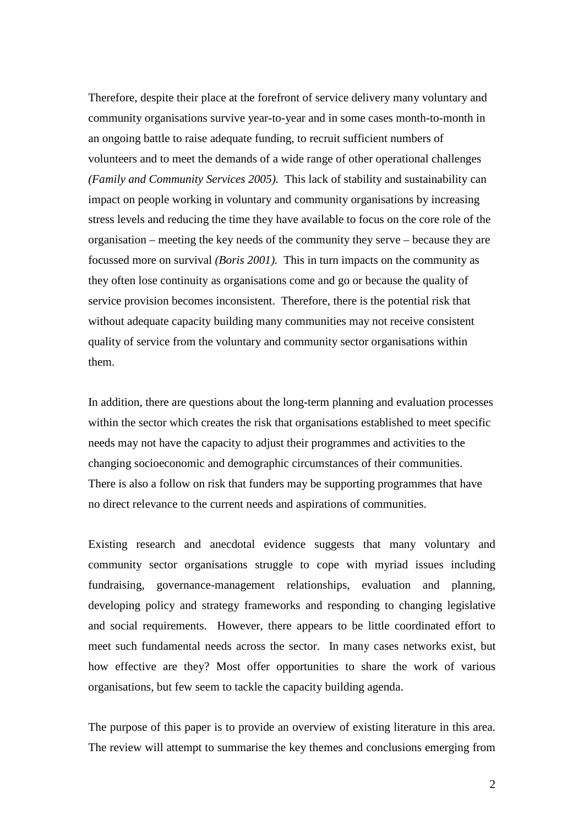Therefore, despite their place at the forefront of service delivery many voluntary and community organisations survive year-to-year and in some cases month-to-month in an ongoing battle to raise adequate funding, to recruit sufficient numbers of volunteers and to meet the demands of a wide range of other operational challenges *(Family and Community Services 2005).* This lack of stability and sustainability can impact on people working in voluntary and community organisations by increasing stress levels and reducing the time they have available to focus on the core role of the organisation – meeting the key needs of the community they serve – because they are focussed more on survival *(Boris 2001).* This in turn impacts on the community as they often lose continuity as organisations come and go or because the quality of service provision becomes inconsistent. Therefore, there is the potential risk that without adequate capacity building many communities may not receive consistent quality of service from the voluntary and community sector organisations within them.

In addition, there are questions about the long-term planning and evaluation processes within the sector which creates the risk that organisations established to meet specific needs may not have the capacity to adjust their programmes and activities to the changing socioeconomic and demographic circumstances of their communities. There is also a follow on risk that funders may be supporting programmes that have no direct relevance to the current needs and aspirations of communities.

Existing research and anecdotal evidence suggests that many voluntary and community sector organisations struggle to cope with myriad issues including fundraising, governance-management relationships, evaluation and planning, developing policy and strategy frameworks and responding to changing legislative and social requirements. However, there appears to be little coordinated effort to meet such fundamental needs across the sector. In many cases networks exist, but how effective are they? Most offer opportunities to share the work of various organisations, but few seem to tackle the capacity building agenda.

The purpose of this paper is to provide an overview of existing literature in this area. The review will attempt to summarise the key themes and conclusions emerging from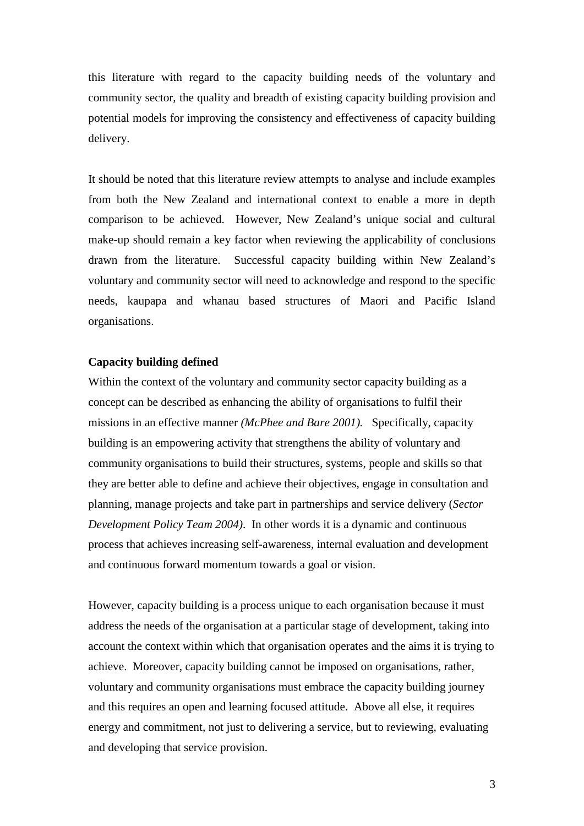this literature with regard to the capacity building needs of the voluntary and community sector, the quality and breadth of existing capacity building provision and potential models for improving the consistency and effectiveness of capacity building delivery.

It should be noted that this literature review attempts to analyse and include examples from both the New Zealand and international context to enable a more in depth comparison to be achieved. However, New Zealand's unique social and cultural make-up should remain a key factor when reviewing the applicability of conclusions drawn from the literature. Successful capacity building within New Zealand's voluntary and community sector will need to acknowledge and respond to the specific needs, kaupapa and whanau based structures of Maori and Pacific Island organisations.

## **Capacity building defined**

Within the context of the voluntary and community sector capacity building as a concept can be described as enhancing the ability of organisations to fulfil their missions in an effective manner *(McPhee and Bare 2001).* Specifically, capacity building is an empowering activity that strengthens the ability of voluntary and community organisations to build their structures, systems, people and skills so that they are better able to define and achieve their objectives, engage in consultation and planning, manage projects and take part in partnerships and service delivery (*Sector Development Policy Team 2004)*. In other words it is a dynamic and continuous process that achieves increasing self-awareness, internal evaluation and development and continuous forward momentum towards a goal or vision.

However, capacity building is a process unique to each organisation because it must address the needs of the organisation at a particular stage of development, taking into account the context within which that organisation operates and the aims it is trying to achieve. Moreover, capacity building cannot be imposed on organisations, rather, voluntary and community organisations must embrace the capacity building journey and this requires an open and learning focused attitude. Above all else, it requires energy and commitment, not just to delivering a service, but to reviewing, evaluating and developing that service provision.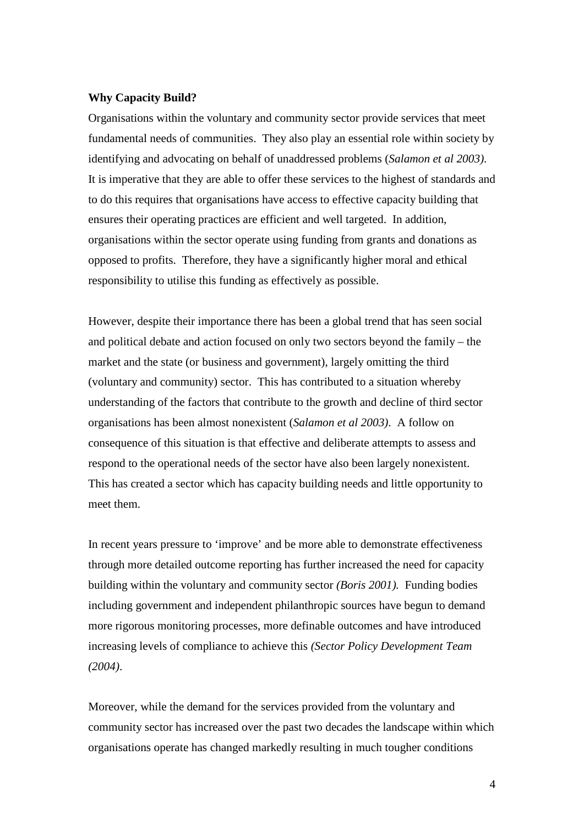#### **Why Capacity Build?**

Organisations within the voluntary and community sector provide services that meet fundamental needs of communities. They also play an essential role within society by identifying and advocating on behalf of unaddressed problems (*Salamon et al 2003)*. It is imperative that they are able to offer these services to the highest of standards and to do this requires that organisations have access to effective capacity building that ensures their operating practices are efficient and well targeted. In addition, organisations within the sector operate using funding from grants and donations as opposed to profits. Therefore, they have a significantly higher moral and ethical responsibility to utilise this funding as effectively as possible.

However, despite their importance there has been a global trend that has seen social and political debate and action focused on only two sectors beyond the family – the market and the state (or business and government), largely omitting the third (voluntary and community) sector. This has contributed to a situation whereby understanding of the factors that contribute to the growth and decline of third sector organisations has been almost nonexistent (*Salamon et al 2003)*. A follow on consequence of this situation is that effective and deliberate attempts to assess and respond to the operational needs of the sector have also been largely nonexistent. This has created a sector which has capacity building needs and little opportunity to meet them.

In recent years pressure to 'improve' and be more able to demonstrate effectiveness through more detailed outcome reporting has further increased the need for capacity building within the voluntary and community sector *(Boris 2001).* Funding bodies including government and independent philanthropic sources have begun to demand more rigorous monitoring processes, more definable outcomes and have introduced increasing levels of compliance to achieve this *(Sector Policy Development Team (2004)*.

Moreover, while the demand for the services provided from the voluntary and community sector has increased over the past two decades the landscape within which organisations operate has changed markedly resulting in much tougher conditions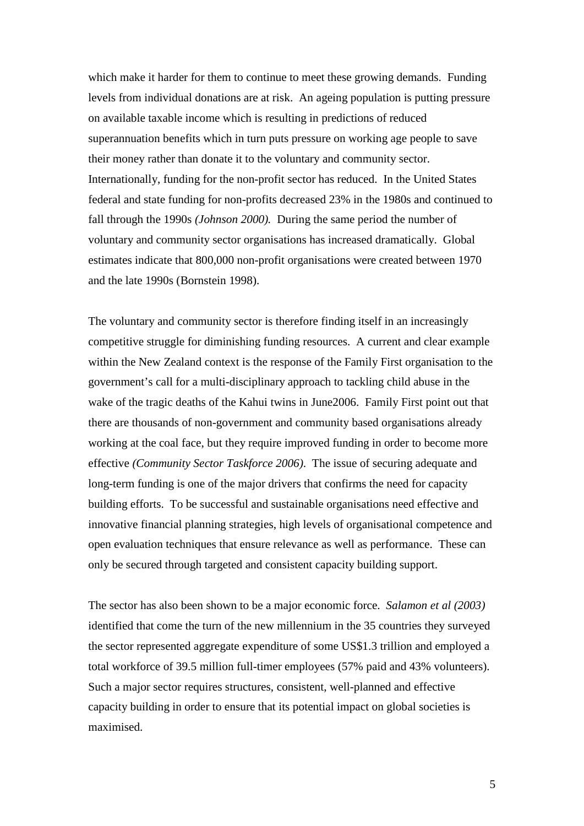which make it harder for them to continue to meet these growing demands. Funding levels from individual donations are at risk. An ageing population is putting pressure on available taxable income which is resulting in predictions of reduced superannuation benefits which in turn puts pressure on working age people to save their money rather than donate it to the voluntary and community sector. Internationally, funding for the non-profit sector has reduced. In the United States federal and state funding for non-profits decreased 23% in the 1980s and continued to fall through the 1990s *(Johnson 2000).* During the same period the number of voluntary and community sector organisations has increased dramatically. Global estimates indicate that 800,000 non-profit organisations were created between 1970 and the late 1990s (Bornstein 1998).

The voluntary and community sector is therefore finding itself in an increasingly competitive struggle for diminishing funding resources. A current and clear example within the New Zealand context is the response of the Family First organisation to the government's call for a multi-disciplinary approach to tackling child abuse in the wake of the tragic deaths of the Kahui twins in June2006. Family First point out that there are thousands of non-government and community based organisations already working at the coal face, but they require improved funding in order to become more effective *(Community Sector Taskforce 2006)*. The issue of securing adequate and long-term funding is one of the major drivers that confirms the need for capacity building efforts. To be successful and sustainable organisations need effective and innovative financial planning strategies, high levels of organisational competence and open evaluation techniques that ensure relevance as well as performance. These can only be secured through targeted and consistent capacity building support.

The sector has also been shown to be a major economic force. *Salamon et al (2003)*  identified that come the turn of the new millennium in the 35 countries they surveyed the sector represented aggregate expenditure of some US\$1.3 trillion and employed a total workforce of 39.5 million full-timer employees (57% paid and 43% volunteers). Such a major sector requires structures, consistent, well-planned and effective capacity building in order to ensure that its potential impact on global societies is maximised.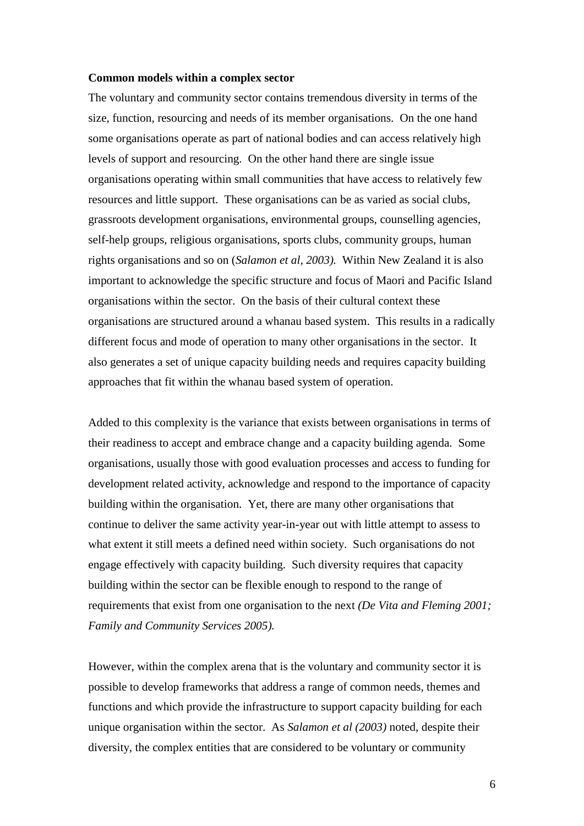#### **Common models within a complex sector**

The voluntary and community sector contains tremendous diversity in terms of the size, function, resourcing and needs of its member organisations. On the one hand some organisations operate as part of national bodies and can access relatively high levels of support and resourcing. On the other hand there are single issue organisations operating within small communities that have access to relatively few resources and little support. These organisations can be as varied as social clubs, grassroots development organisations, environmental groups, counselling agencies, self-help groups, religious organisations, sports clubs, community groups, human rights organisations and so on (*Salamon et al, 2003).* Within New Zealand it is also important to acknowledge the specific structure and focus of Maori and Pacific Island organisations within the sector. On the basis of their cultural context these organisations are structured around a whanau based system. This results in a radically different focus and mode of operation to many other organisations in the sector. It also generates a set of unique capacity building needs and requires capacity building approaches that fit within the whanau based system of operation.

Added to this complexity is the variance that exists between organisations in terms of their readiness to accept and embrace change and a capacity building agenda. Some organisations, usually those with good evaluation processes and access to funding for development related activity, acknowledge and respond to the importance of capacity building within the organisation. Yet, there are many other organisations that continue to deliver the same activity year-in-year out with little attempt to assess to what extent it still meets a defined need within society. Such organisations do not engage effectively with capacity building. Such diversity requires that capacity building within the sector can be flexible enough to respond to the range of requirements that exist from one organisation to the next *(De Vita and Fleming 2001; Family and Community Services 2005).* 

However, within the complex arena that is the voluntary and community sector it is possible to develop frameworks that address a range of common needs, themes and functions and which provide the infrastructure to support capacity building for each unique organisation within the sector. As *Salamon et al (2003)* noted, despite their diversity, the complex entities that are considered to be voluntary or community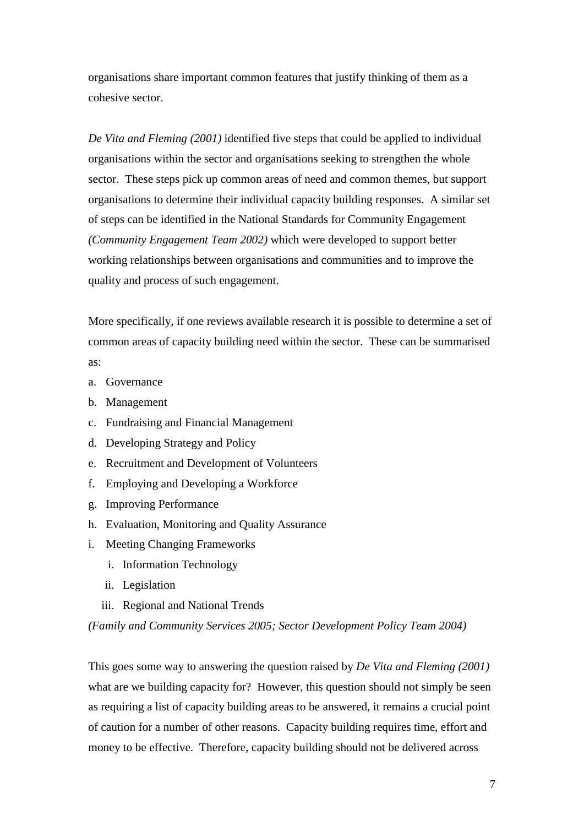organisations share important common features that justify thinking of them as a cohesive sector.

*De Vita and Fleming (2001)* identified five steps that could be applied to individual organisations within the sector and organisations seeking to strengthen the whole sector. These steps pick up common areas of need and common themes, but support organisations to determine their individual capacity building responses. A similar set of steps can be identified in the National Standards for Community Engagement *(Community Engagement Team 2002)* which were developed to support better working relationships between organisations and communities and to improve the quality and process of such engagement.

More specifically, if one reviews available research it is possible to determine a set of common areas of capacity building need within the sector. These can be summarised as:

- a. Governance
- b. Management
- c. Fundraising and Financial Management
- d. Developing Strategy and Policy
- e. Recruitment and Development of Volunteers
- f. Employing and Developing a Workforce
- g. Improving Performance
- h. Evaluation, Monitoring and Quality Assurance
- i. Meeting Changing Frameworks
	- i. Information Technology
	- ii. Legislation
	- iii. Regional and National Trends

*(Family and Community Services 2005; Sector Development Policy Team 2004)*

This goes some way to answering the question raised by *De Vita and Fleming (2001)* what are we building capacity for? However, this question should not simply be seen as requiring a list of capacity building areas to be answered, it remains a crucial point of caution for a number of other reasons. Capacity building requires time, effort and money to be effective. Therefore, capacity building should not be delivered across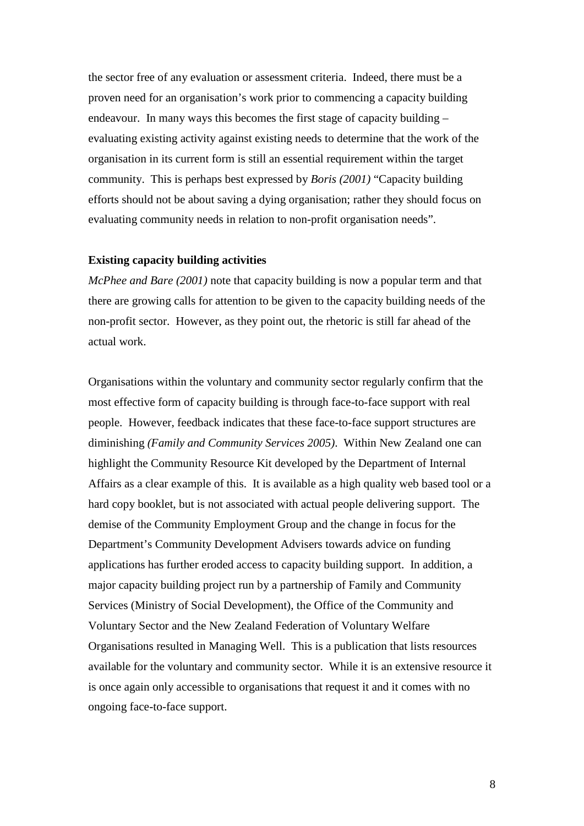the sector free of any evaluation or assessment criteria. Indeed, there must be a proven need for an organisation's work prior to commencing a capacity building endeavour. In many ways this becomes the first stage of capacity building – evaluating existing activity against existing needs to determine that the work of the organisation in its current form is still an essential requirement within the target community. This is perhaps best expressed by *Boris (2001)* "Capacity building efforts should not be about saving a dying organisation; rather they should focus on evaluating community needs in relation to non-profit organisation needs".

## **Existing capacity building activities**

*McPhee and Bare (2001)* note that capacity building is now a popular term and that there are growing calls for attention to be given to the capacity building needs of the non-profit sector. However, as they point out, the rhetoric is still far ahead of the actual work.

Organisations within the voluntary and community sector regularly confirm that the most effective form of capacity building is through face-to-face support with real people. However, feedback indicates that these face-to-face support structures are diminishing *(Family and Community Services 2005)*. Within New Zealand one can highlight the Community Resource Kit developed by the Department of Internal Affairs as a clear example of this. It is available as a high quality web based tool or a hard copy booklet, but is not associated with actual people delivering support. The demise of the Community Employment Group and the change in focus for the Department's Community Development Advisers towards advice on funding applications has further eroded access to capacity building support. In addition, a major capacity building project run by a partnership of Family and Community Services (Ministry of Social Development), the Office of the Community and Voluntary Sector and the New Zealand Federation of Voluntary Welfare Organisations resulted in Managing Well. This is a publication that lists resources available for the voluntary and community sector. While it is an extensive resource it is once again only accessible to organisations that request it and it comes with no ongoing face-to-face support.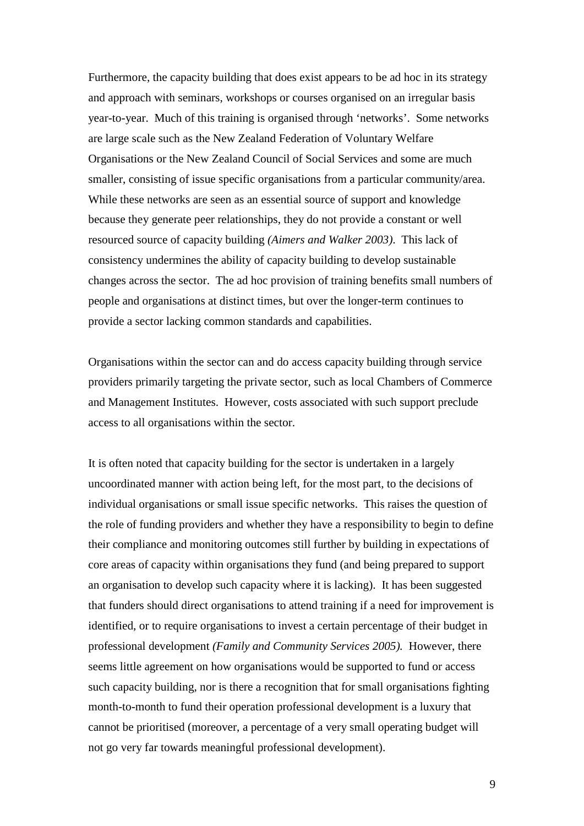Furthermore, the capacity building that does exist appears to be ad hoc in its strategy and approach with seminars, workshops or courses organised on an irregular basis year-to-year. Much of this training is organised through 'networks'. Some networks are large scale such as the New Zealand Federation of Voluntary Welfare Organisations or the New Zealand Council of Social Services and some are much smaller, consisting of issue specific organisations from a particular community/area. While these networks are seen as an essential source of support and knowledge because they generate peer relationships, they do not provide a constant or well resourced source of capacity building *(Aimers and Walker 2003)*. This lack of consistency undermines the ability of capacity building to develop sustainable changes across the sector. The ad hoc provision of training benefits small numbers of people and organisations at distinct times, but over the longer-term continues to provide a sector lacking common standards and capabilities.

Organisations within the sector can and do access capacity building through service providers primarily targeting the private sector, such as local Chambers of Commerce and Management Institutes. However, costs associated with such support preclude access to all organisations within the sector.

It is often noted that capacity building for the sector is undertaken in a largely uncoordinated manner with action being left, for the most part, to the decisions of individual organisations or small issue specific networks. This raises the question of the role of funding providers and whether they have a responsibility to begin to define their compliance and monitoring outcomes still further by building in expectations of core areas of capacity within organisations they fund (and being prepared to support an organisation to develop such capacity where it is lacking). It has been suggested that funders should direct organisations to attend training if a need for improvement is identified, or to require organisations to invest a certain percentage of their budget in professional development *(Family and Community Services 2005).* However, there seems little agreement on how organisations would be supported to fund or access such capacity building, nor is there a recognition that for small organisations fighting month-to-month to fund their operation professional development is a luxury that cannot be prioritised (moreover, a percentage of a very small operating budget will not go very far towards meaningful professional development).

9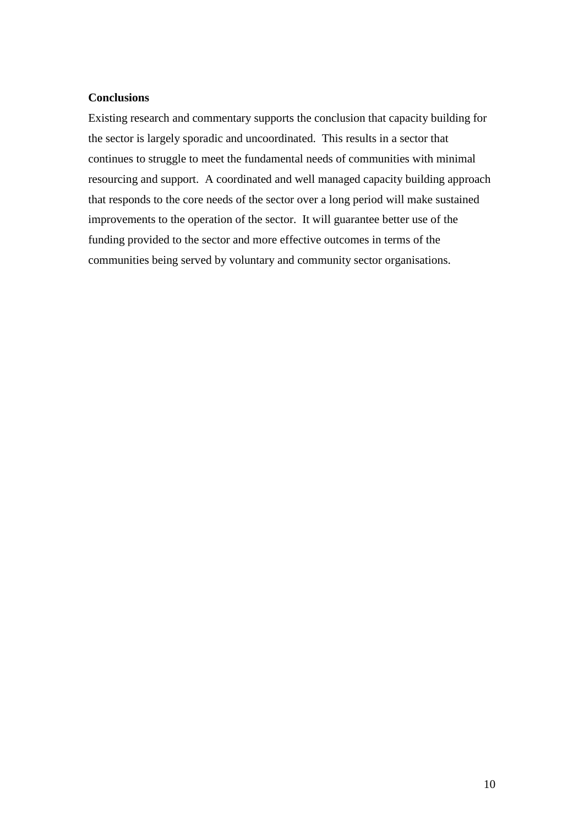## **Conclusions**

Existing research and commentary supports the conclusion that capacity building for the sector is largely sporadic and uncoordinated. This results in a sector that continues to struggle to meet the fundamental needs of communities with minimal resourcing and support. A coordinated and well managed capacity building approach that responds to the core needs of the sector over a long period will make sustained improvements to the operation of the sector. It will guarantee better use of the funding provided to the sector and more effective outcomes in terms of the communities being served by voluntary and community sector organisations.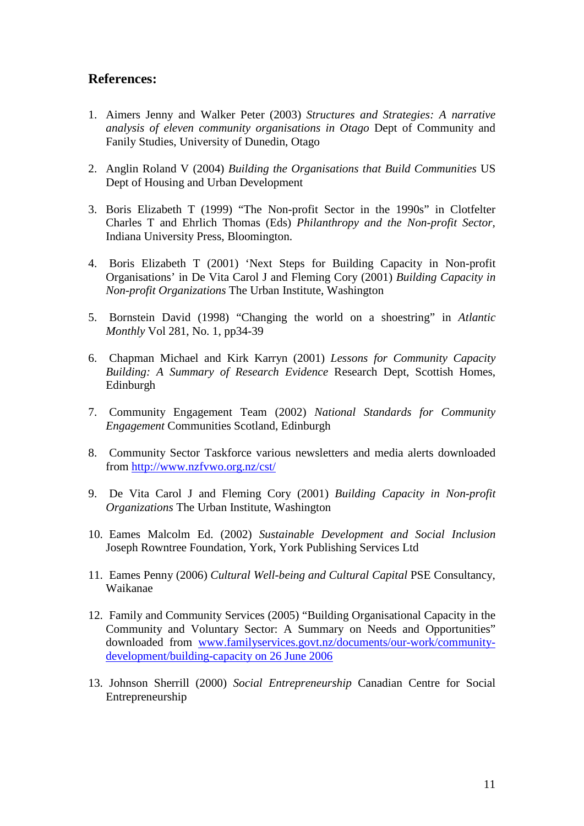# **References:**

- 1. Aimers Jenny and Walker Peter (2003) *Structures and Strategies: A narrative analysis of eleven community organisations in Otago* Dept of Community and Fanily Studies, University of Dunedin, Otago
- 2. Anglin Roland V (2004) *Building the Organisations that Build Communities* US Dept of Housing and Urban Development
- 3. Boris Elizabeth T (1999) "The Non-profit Sector in the 1990s" in Clotfelter Charles T and Ehrlich Thomas (Eds) *Philanthropy and the Non-profit Sector,*  Indiana University Press, Bloomington.
- 4. Boris Elizabeth T (2001) 'Next Steps for Building Capacity in Non-profit Organisations' in De Vita Carol J and Fleming Cory (2001) *Building Capacity in Non-profit Organizations* The Urban Institute, Washington
- 5. Bornstein David (1998) "Changing the world on a shoestring" in *Atlantic Monthly* Vol 281, No. 1, pp34-39
- 6. Chapman Michael and Kirk Karryn (2001) *Lessons for Community Capacity Building: A Summary of Research Evidence* Research Dept, Scottish Homes, Edinburgh
- 7. Community Engagement Team (2002) *National Standards for Community Engagement* Communities Scotland, Edinburgh
- 8. Community Sector Taskforce various newsletters and media alerts downloaded from<http://www.nzfvwo.org.nz/cst/>
- 9. De Vita Carol J and Fleming Cory (2001) *Building Capacity in Non-profit Organizations* The Urban Institute, Washington
- 10. Eames Malcolm Ed. (2002) *Sustainable Development and Social Inclusion* Joseph Rowntree Foundation, York, York Publishing Services Ltd
- 11. Eames Penny (2006) *Cultural Well-being and Cultural Capital* PSE Consultancy, Waikanae
- 12. Family and Community Services (2005) "Building Organisational Capacity in the Community and Voluntary Sector: A Summary on Needs and Opportunities" downloaded from [www.familyservices.govt.nz/documents/our-work/community](http://www.familyservices.govt.nz/documents/our-work/community-development/building-capacity%20on%2026%20June%202006)[development/building-capacity on 26 June 2006](http://www.familyservices.govt.nz/documents/our-work/community-development/building-capacity%20on%2026%20June%202006)
- 13. Johnson Sherrill (2000) *Social Entrepreneurship* Canadian Centre for Social Entrepreneurship